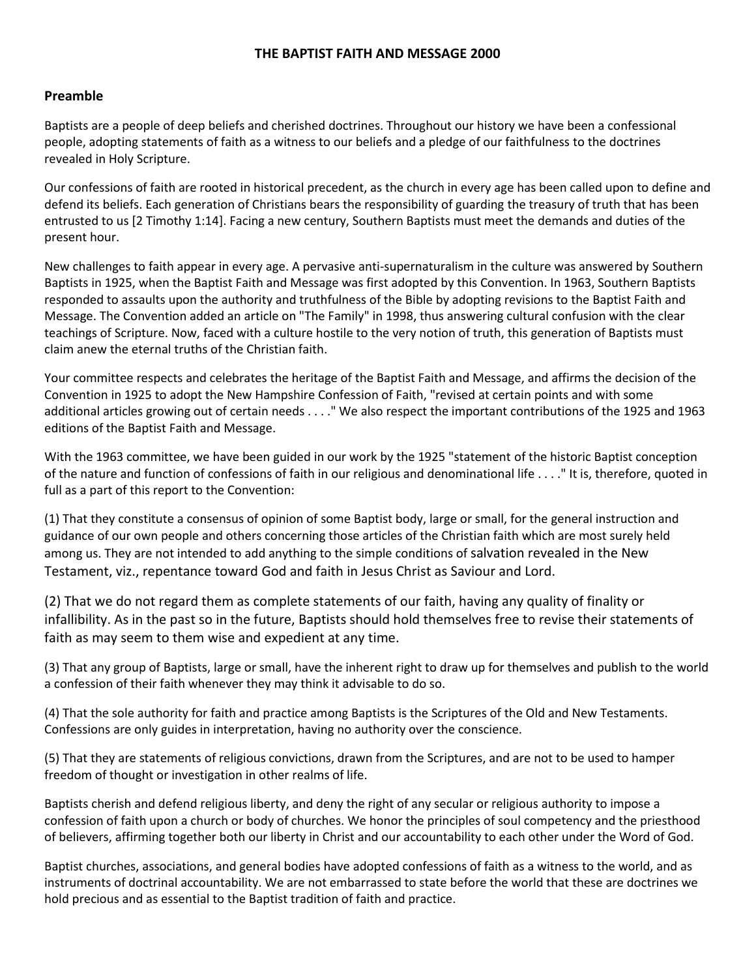# **THE BAPTIST FAITH AND MESSAGE 2000**

## **Preamble**

Baptists are a people of deep beliefs and cherished doctrines. Throughout our history we have been a confessional people, adopting statements of faith as a witness to our beliefs and a pledge of our faithfulness to the doctrines revealed in Holy Scripture.

Our confessions of faith are rooted in historical precedent, as the church in every age has been called upon to define and defend its beliefs. Each generation of Christians bears the responsibility of guarding the treasury of truth that has been entrusted to us [2 Timothy 1:14]. Facing a new century, Southern Baptists must meet the demands and duties of the present hour.

New challenges to faith appear in every age. A pervasive anti-supernaturalism in the culture was answered by Southern Baptists in 1925, when the Baptist Faith and Message was first adopted by this Convention. In 1963, Southern Baptists responded to assaults upon the authority and truthfulness of the Bible by adopting revisions to the Baptist Faith and Message. The Convention added an article on "The Family" in 1998, thus answering cultural confusion with the clear teachings of Scripture. Now, faced with a culture hostile to the very notion of truth, this generation of Baptists must claim anew the eternal truths of the Christian faith.

Your committee respects and celebrates the heritage of the Baptist Faith and Message, and affirms the decision of the Convention in 1925 to adopt the New Hampshire Confession of Faith, "revised at certain points and with some additional articles growing out of certain needs . . . ." We also respect the important contributions of the 1925 and 1963 editions of the Baptist Faith and Message.

With the 1963 committee, we have been guided in our work by the 1925 "statement of the historic Baptist conception of the nature and function of confessions of faith in our religious and denominational life . . . ." It is, therefore, quoted in full as a part of this report to the Convention:

(1) That they constitute a consensus of opinion of some Baptist body, large or small, for the general instruction and guidance of our own people and others concerning those articles of the Christian faith which are most surely held among us. They are not intended to add anything to the simple conditions of salvation revealed in the New Testament, viz., repentance toward God and faith in Jesus Christ as Saviour and Lord.

(2) That we do not regard them as complete statements of our faith, having any quality of finality or infallibility. As in the past so in the future, Baptists should hold themselves free to revise their statements of faith as may seem to them wise and expedient at any time.

(3) That any group of Baptists, large or small, have the inherent right to draw up for themselves and publish to the world a confession of their faith whenever they may think it advisable to do so.

(4) That the sole authority for faith and practice among Baptists is the Scriptures of the Old and New Testaments. Confessions are only guides in interpretation, having no authority over the conscience.

(5) That they are statements of religious convictions, drawn from the Scriptures, and are not to be used to hamper freedom of thought or investigation in other realms of life.

Baptists cherish and defend religious liberty, and deny the right of any secular or religious authority to impose a confession of faith upon a church or body of churches. We honor the principles of soul competency and the priesthood of believers, affirming together both our liberty in Christ and our accountability to each other under the Word of God.

Baptist churches, associations, and general bodies have adopted confessions of faith as a witness to the world, and as instruments of doctrinal accountability. We are not embarrassed to state before the world that these are doctrines we hold precious and as essential to the Baptist tradition of faith and practice.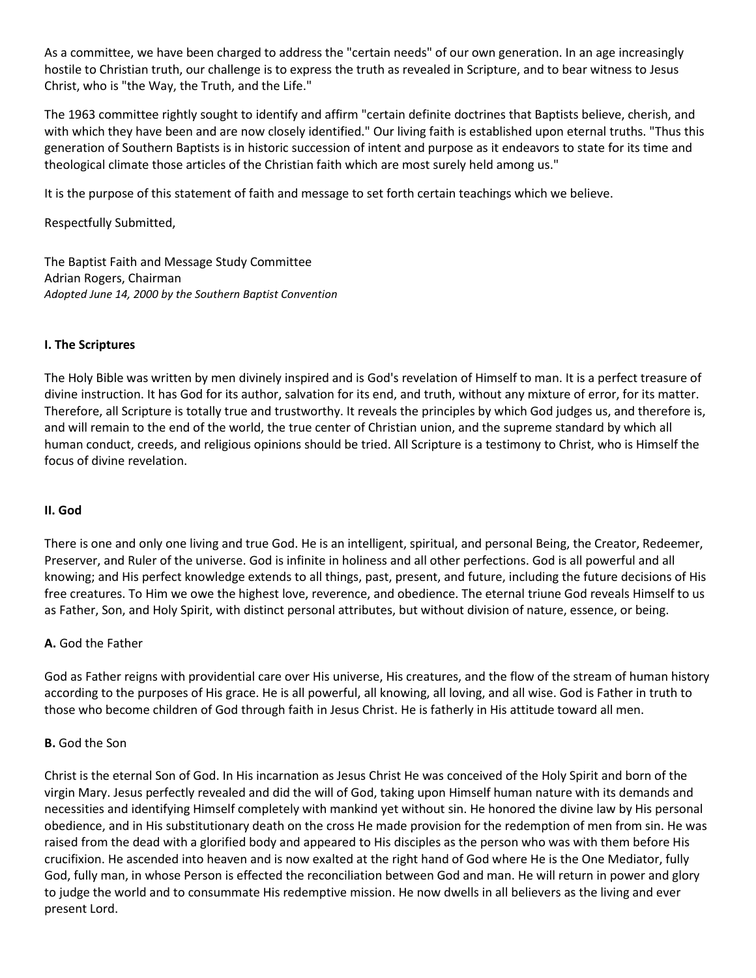As a committee, we have been charged to address the "certain needs" of our own generation. In an age increasingly hostile to Christian truth, our challenge is to express the truth as revealed in Scripture, and to bear witness to Jesus Christ, who is "the Way, the Truth, and the Life."

The 1963 committee rightly sought to identify and affirm "certain definite doctrines that Baptists believe, cherish, and with which they have been and are now closely identified." Our living faith is established upon eternal truths. "Thus this generation of Southern Baptists is in historic succession of intent and purpose as it endeavors to state for its time and theological climate those articles of the Christian faith which are most surely held among us."

It is the purpose of this statement of faith and message to set forth certain teachings which we believe.

Respectfully Submitted,

The Baptist Faith and Message Study Committee Adrian Rogers, Chairman *Adopted June 14, 2000 by the Southern Baptist Convention*

## **I. The Scriptures**

The Holy Bible was written by men divinely inspired and is God's revelation of Himself to man. It is a perfect treasure of divine instruction. It has God for its author, salvation for its end, and truth, without any mixture of error, for its matter. Therefore, all Scripture is totally true and trustworthy. It reveals the principles by which God judges us, and therefore is, and will remain to the end of the world, the true center of Christian union, and the supreme standard by which all human conduct, creeds, and religious opinions should be tried. All Scripture is a testimony to Christ, who is Himself the focus of divine revelation.

## **II. God**

There is one and only one living and true God. He is an intelligent, spiritual, and personal Being, the Creator, Redeemer, Preserver, and Ruler of the universe. God is infinite in holiness and all other perfections. God is all powerful and all knowing; and His perfect knowledge extends to all things, past, present, and future, including the future decisions of His free creatures. To Him we owe the highest love, reverence, and obedience. The eternal triune God reveals Himself to us as Father, Son, and Holy Spirit, with distinct personal attributes, but without division of nature, essence, or being.

## **A.** God the Father

God as Father reigns with providential care over His universe, His creatures, and the flow of the stream of human history according to the purposes of His grace. He is all powerful, all knowing, all loving, and all wise. God is Father in truth to those who become children of God through faith in Jesus Christ. He is fatherly in His attitude toward all men.

## **B.** God the Son

Christ is the eternal Son of God. In His incarnation as Jesus Christ He was conceived of the Holy Spirit and born of the virgin Mary. Jesus perfectly revealed and did the will of God, taking upon Himself human nature with its demands and necessities and identifying Himself completely with mankind yet without sin. He honored the divine law by His personal obedience, and in His substitutionary death on the cross He made provision for the redemption of men from sin. He was raised from the dead with a glorified body and appeared to His disciples as the person who was with them before His crucifixion. He ascended into heaven and is now exalted at the right hand of God where He is the One Mediator, fully God, fully man, in whose Person is effected the reconciliation between God and man. He will return in power and glory to judge the world and to consummate His redemptive mission. He now dwells in all believers as the living and ever present Lord.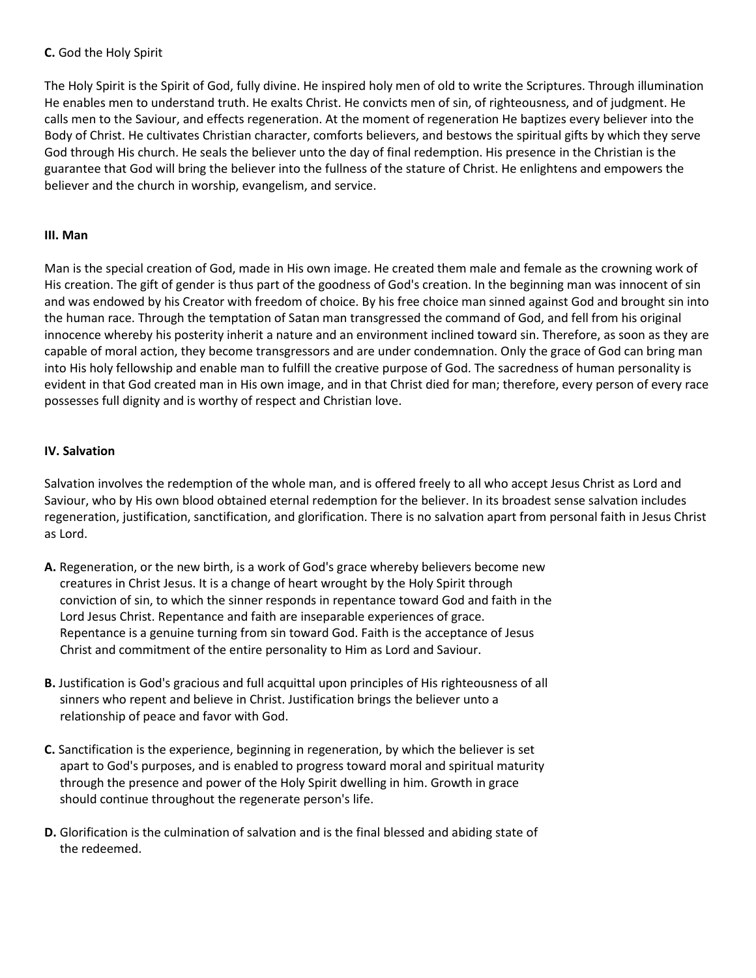## **C.** God the Holy Spirit

The Holy Spirit is the Spirit of God, fully divine. He inspired holy men of old to write the Scriptures. Through illumination He enables men to understand truth. He exalts Christ. He convicts men of sin, of righteousness, and of judgment. He calls men to the Saviour, and effects regeneration. At the moment of regeneration He baptizes every believer into the Body of Christ. He cultivates Christian character, comforts believers, and bestows the spiritual gifts by which they serve God through His church. He seals the believer unto the day of final redemption. His presence in the Christian is the guarantee that God will bring the believer into the fullness of the stature of Christ. He enlightens and empowers the believer and the church in worship, evangelism, and service.

## **III. Man**

Man is the special creation of God, made in His own image. He created them male and female as the crowning work of His creation. The gift of gender is thus part of the goodness of God's creation. In the beginning man was innocent of sin and was endowed by his Creator with freedom of choice. By his free choice man sinned against God and brought sin into the human race. Through the temptation of Satan man transgressed the command of God, and fell from his original innocence whereby his posterity inherit a nature and an environment inclined toward sin. Therefore, as soon as they are capable of moral action, they become transgressors and are under condemnation. Only the grace of God can bring man into His holy fellowship and enable man to fulfill the creative purpose of God. The sacredness of human personality is evident in that God created man in His own image, and in that Christ died for man; therefore, every person of every race possesses full dignity and is worthy of respect and Christian love.

## **IV. Salvation**

Salvation involves the redemption of the whole man, and is offered freely to all who accept Jesus Christ as Lord and Saviour, who by His own blood obtained eternal redemption for the believer. In its broadest sense salvation includes regeneration, justification, sanctification, and glorification. There is no salvation apart from personal faith in Jesus Christ as Lord.

- **A.** Regeneration, or the new birth, is a work of God's grace whereby believers become new creatures in Christ Jesus. It is a change of heart wrought by the Holy Spirit through conviction of sin, to which the sinner responds in repentance toward God and faith in the Lord Jesus Christ. Repentance and faith are inseparable experiences of grace. Repentance is a genuine turning from sin toward God. Faith is the acceptance of Jesus Christ and commitment of the entire personality to Him as Lord and Saviour.
- **B.** Justification is God's gracious and full acquittal upon principles of His righteousness of all sinners who repent and believe in Christ. Justification brings the believer unto a relationship of peace and favor with God.
- **C.** Sanctification is the experience, beginning in regeneration, by which the believer is set apart to God's purposes, and is enabled to progress toward moral and spiritual maturity through the presence and power of the Holy Spirit dwelling in him. Growth in grace should continue throughout the regenerate person's life.
- **D.** Glorification is the culmination of salvation and is the final blessed and abiding state of the redeemed.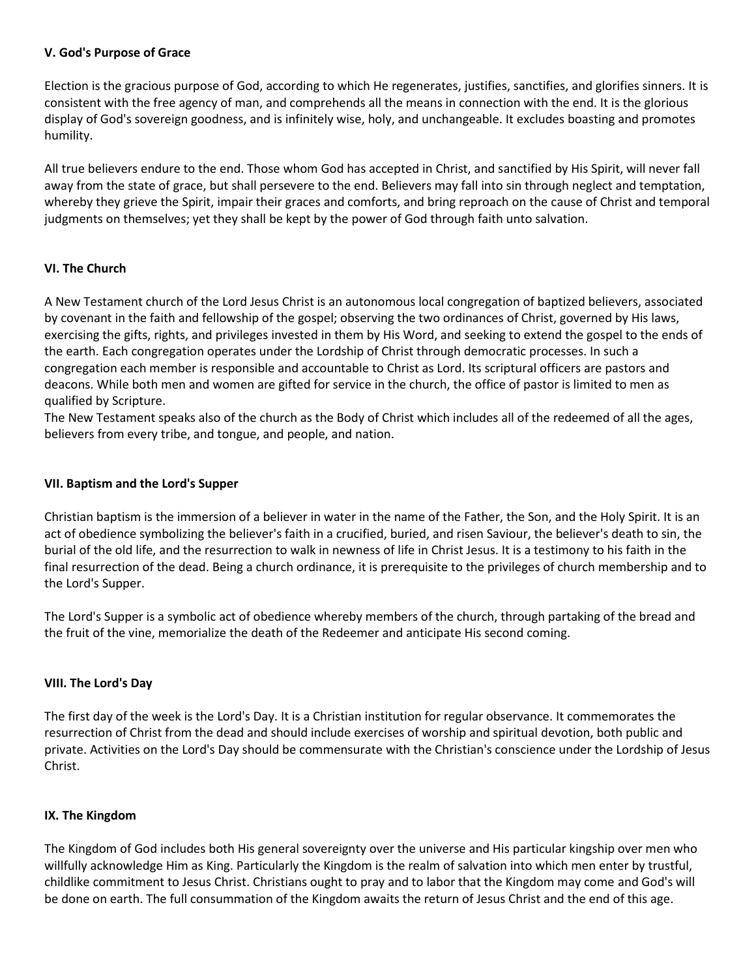## **V. God's Purpose of Grace**

Election is the gracious purpose of God, according to which He regenerates, justifies, sanctifies, and glorifies sinners. It is consistent with the free agency of man, and comprehends all the means in connection with the end. It is the glorious display of God's sovereign goodness, and is infinitely wise, holy, and unchangeable. It excludes boasting and promotes humility.

All true believers endure to the end. Those whom God has accepted in Christ, and sanctified by His Spirit, will never fall away from the state of grace, but shall persevere to the end. Believers may fall into sin through neglect and temptation, whereby they grieve the Spirit, impair their graces and comforts, and bring reproach on the cause of Christ and temporal judgments on themselves; yet they shall be kept by the power of God through faith unto salvation.

## **VI. The Church**

A New Testament church of the Lord Jesus Christ is an autonomous local congregation of baptized believers, associated by covenant in the faith and fellowship of the gospel; observing the two ordinances of Christ, governed by His laws, exercising the gifts, rights, and privileges invested in them by His Word, and seeking to extend the gospel to the ends of the earth. Each congregation operates under the Lordship of Christ through democratic processes. In such a congregation each member is responsible and accountable to Christ as Lord. Its scriptural officers are pastors and deacons. While both men and women are gifted for service in the church, the office of pastor is limited to men as qualified by Scripture.

The New Testament speaks also of the church as the Body of Christ which includes all of the redeemed of all the ages, believers from every tribe, and tongue, and people, and nation.

#### **VII. Baptism and the Lord's Supper**

Christian baptism is the immersion of a believer in water in the name of the Father, the Son, and the Holy Spirit. It is an act of obedience symbolizing the believer's faith in a crucified, buried, and risen Saviour, the believer's death to sin, the burial of the old life, and the resurrection to walk in newness of life in Christ Jesus. It is a testimony to his faith in the final resurrection of the dead. Being a church ordinance, it is prerequisite to the privileges of church membership and to the Lord's Supper.

The Lord's Supper is a symbolic act of obedience whereby members of the church, through partaking of the bread and the fruit of the vine, memorialize the death of the Redeemer and anticipate His second coming.

## **VIII. The Lord's Day**

The first day of the week is the Lord's Day. It is a Christian institution for regular observance. It commemorates the resurrection of Christ from the dead and should include exercises of worship and spiritual devotion, both public and private. Activities on the Lord's Day should be commensurate with the Christian's conscience under the Lordship of Jesus Christ.

## **IX. The Kingdom**

The Kingdom of God includes both His general sovereignty over the universe and His particular kingship over men who willfully acknowledge Him as King. Particularly the Kingdom is the realm of salvation into which men enter by trustful, childlike commitment to Jesus Christ. Christians ought to pray and to labor that the Kingdom may come and God's will be done on earth. The full consummation of the Kingdom awaits the return of Jesus Christ and the end of this age.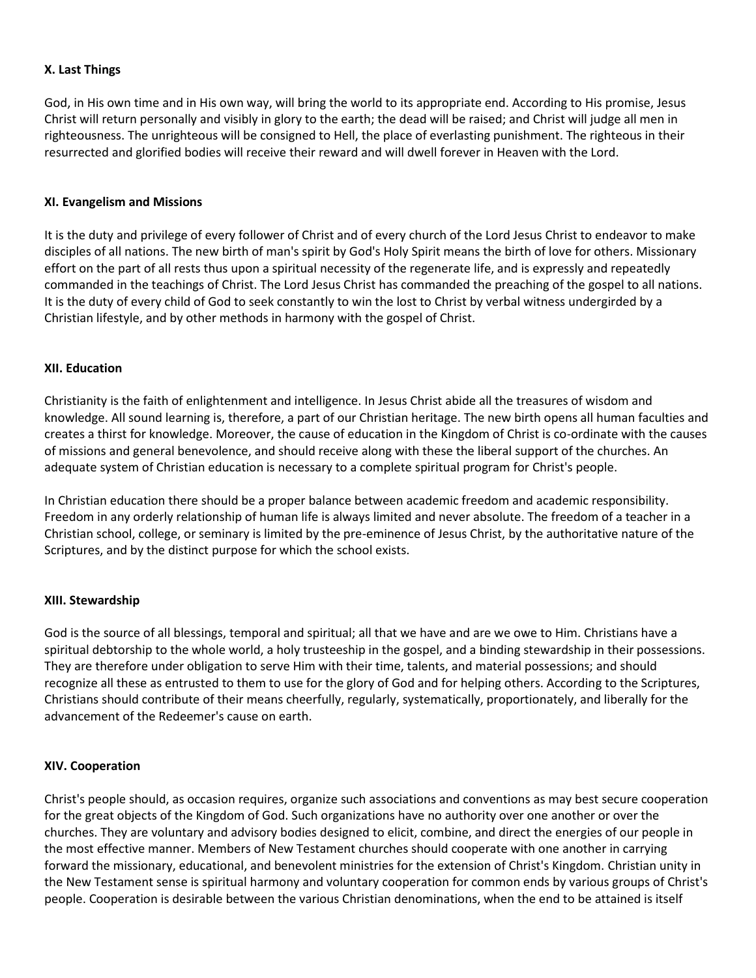#### **X. Last Things**

God, in His own time and in His own way, will bring the world to its appropriate end. According to His promise, Jesus Christ will return personally and visibly in glory to the earth; the dead will be raised; and Christ will judge all men in righteousness. The unrighteous will be consigned to Hell, the place of everlasting punishment. The righteous in their resurrected and glorified bodies will receive their reward and will dwell forever in Heaven with the Lord.

#### **XI. Evangelism and Missions**

It is the duty and privilege of every follower of Christ and of every church of the Lord Jesus Christ to endeavor to make disciples of all nations. The new birth of man's spirit by God's Holy Spirit means the birth of love for others. Missionary effort on the part of all rests thus upon a spiritual necessity of the regenerate life, and is expressly and repeatedly commanded in the teachings of Christ. The Lord Jesus Christ has commanded the preaching of the gospel to all nations. It is the duty of every child of God to seek constantly to win the lost to Christ by verbal witness undergirded by a Christian lifestyle, and by other methods in harmony with the gospel of Christ.

#### **XII. Education**

Christianity is the faith of enlightenment and intelligence. In Jesus Christ abide all the treasures of wisdom and knowledge. All sound learning is, therefore, a part of our Christian heritage. The new birth opens all human faculties and creates a thirst for knowledge. Moreover, the cause of education in the Kingdom of Christ is co-ordinate with the causes of missions and general benevolence, and should receive along with these the liberal support of the churches. An adequate system of Christian education is necessary to a complete spiritual program for Christ's people.

In Christian education there should be a proper balance between academic freedom and academic responsibility. Freedom in any orderly relationship of human life is always limited and never absolute. The freedom of a teacher in a Christian school, college, or seminary is limited by the pre-eminence of Jesus Christ, by the authoritative nature of the Scriptures, and by the distinct purpose for which the school exists.

## **XIII. Stewardship**

God is the source of all blessings, temporal and spiritual; all that we have and are we owe to Him. Christians have a spiritual debtorship to the whole world, a holy trusteeship in the gospel, and a binding stewardship in their possessions. They are therefore under obligation to serve Him with their time, talents, and material possessions; and should recognize all these as entrusted to them to use for the glory of God and for helping others. According to the Scriptures, Christians should contribute of their means cheerfully, regularly, systematically, proportionately, and liberally for the advancement of the Redeemer's cause on earth.

#### **XIV. Cooperation**

Christ's people should, as occasion requires, organize such associations and conventions as may best secure cooperation for the great objects of the Kingdom of God. Such organizations have no authority over one another or over the churches. They are voluntary and advisory bodies designed to elicit, combine, and direct the energies of our people in the most effective manner. Members of New Testament churches should cooperate with one another in carrying forward the missionary, educational, and benevolent ministries for the extension of Christ's Kingdom. Christian unity in the New Testament sense is spiritual harmony and voluntary cooperation for common ends by various groups of Christ's people. Cooperation is desirable between the various Christian denominations, when the end to be attained is itself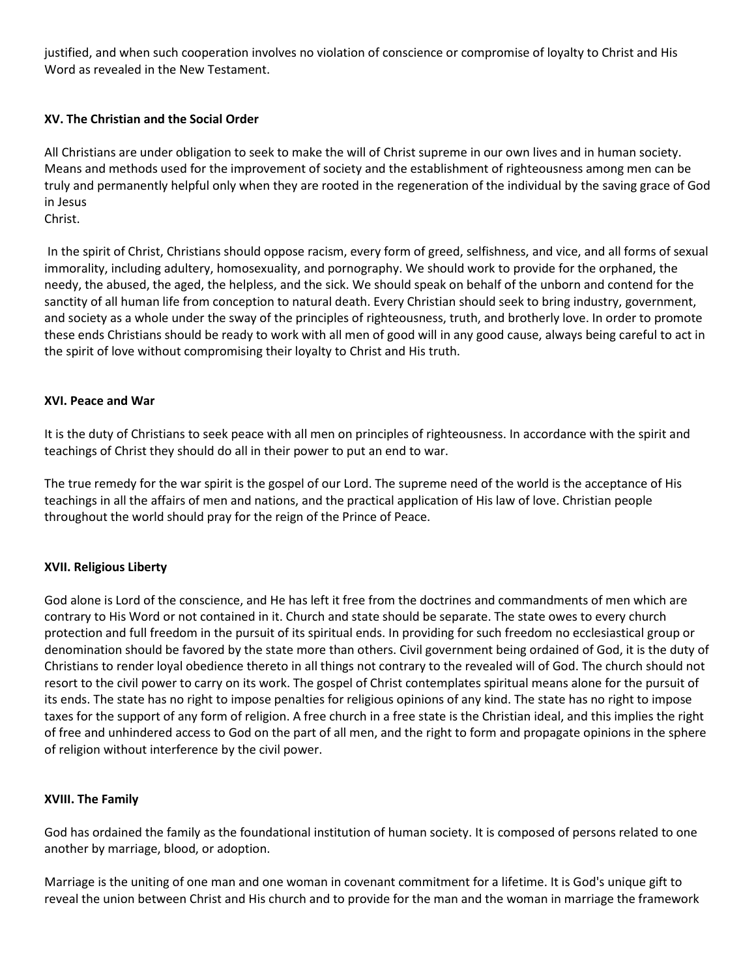justified, and when such cooperation involves no violation of conscience or compromise of loyalty to Christ and His Word as revealed in the New Testament.

# **XV. The Christian and the Social Order**

All Christians are under obligation to seek to make the will of Christ supreme in our own lives and in human society. Means and methods used for the improvement of society and the establishment of righteousness among men can be truly and permanently helpful only when they are rooted in the regeneration of the individual by the saving grace of God in Jesus

Christ.

In the spirit of Christ, Christians should oppose racism, every form of greed, selfishness, and vice, and all forms of sexual immorality, including adultery, homosexuality, and pornography. We should work to provide for the orphaned, the needy, the abused, the aged, the helpless, and the sick. We should speak on behalf of the unborn and contend for the sanctity of all human life from conception to natural death. Every Christian should seek to bring industry, government, and society as a whole under the sway of the principles of righteousness, truth, and brotherly love. In order to promote these ends Christians should be ready to work with all men of good will in any good cause, always being careful to act in the spirit of love without compromising their loyalty to Christ and His truth.

## **XVI. Peace and War**

It is the duty of Christians to seek peace with all men on principles of righteousness. In accordance with the spirit and teachings of Christ they should do all in their power to put an end to war.

The true remedy for the war spirit is the gospel of our Lord. The supreme need of the world is the acceptance of His teachings in all the affairs of men and nations, and the practical application of His law of love. Christian people throughout the world should pray for the reign of the Prince of Peace.

## **XVII. Religious Liberty**

God alone is Lord of the conscience, and He has left it free from the doctrines and commandments of men which are contrary to His Word or not contained in it. Church and state should be separate. The state owes to every church protection and full freedom in the pursuit of its spiritual ends. In providing for such freedom no ecclesiastical group or denomination should be favored by the state more than others. Civil government being ordained of God, it is the duty of Christians to render loyal obedience thereto in all things not contrary to the revealed will of God. The church should not resort to the civil power to carry on its work. The gospel of Christ contemplates spiritual means alone for the pursuit of its ends. The state has no right to impose penalties for religious opinions of any kind. The state has no right to impose taxes for the support of any form of religion. A free church in a free state is the Christian ideal, and this implies the right of free and unhindered access to God on the part of all men, and the right to form and propagate opinions in the sphere of religion without interference by the civil power.

## **XVIII. The Family**

God has ordained the family as the foundational institution of human society. It is composed of persons related to one another by marriage, blood, or adoption.

Marriage is the uniting of one man and one woman in covenant commitment for a lifetime. It is God's unique gift to reveal the union between Christ and His church and to provide for the man and the woman in marriage the framework